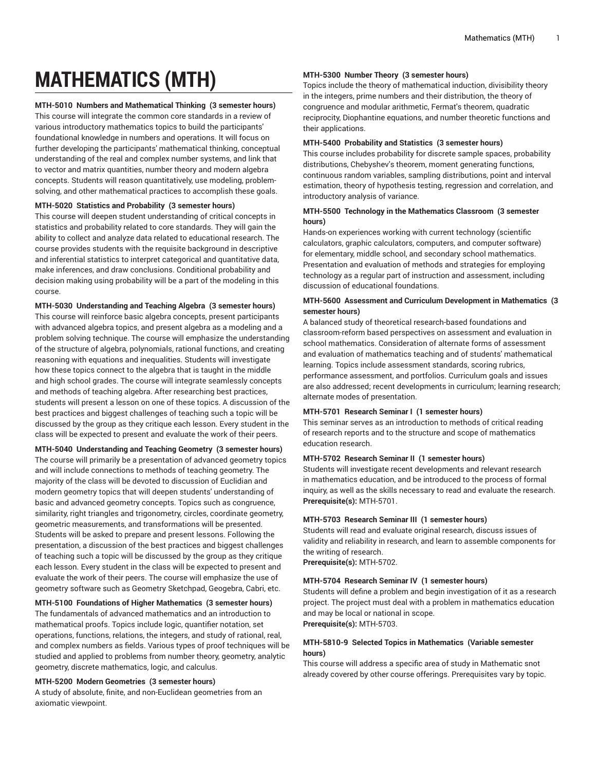# **MATHEMATICS (MTH)**

#### **MTH-5010 Numbers and Mathematical Thinking (3 semester hours)**

This course will integrate the common core standards in a review of various introductory mathematics topics to build the participants' foundational knowledge in numbers and operations. It will focus on further developing the participants' mathematical thinking, conceptual understanding of the real and complex number systems, and link that to vector and matrix quantities, number theory and modern algebra concepts. Students will reason quantitatively, use modeling, problemsolving, and other mathematical practices to accomplish these goals.

#### **MTH-5020 Statistics and Probability (3 semester hours)**

This course will deepen student understanding of critical concepts in statistics and probability related to core standards. They will gain the ability to collect and analyze data related to educational research. The course provides students with the requisite background in descriptive and inferential statistics to interpret categorical and quantitative data, make inferences, and draw conclusions. Conditional probability and decision making using probability will be a part of the modeling in this course.

**MTH-5030 Understanding and Teaching Algebra (3 semester hours)** This course will reinforce basic algebra concepts, present participants with advanced algebra topics, and present algebra as a modeling and a problem solving technique. The course will emphasize the understanding of the structure of algebra, polynomials, rational functions, and creating reasoning with equations and inequalities. Students will investigate how these topics connect to the algebra that is taught in the middle and high school grades. The course will integrate seamlessly concepts and methods of teaching algebra. After researching best practices, students will present a lesson on one of these topics. A discussion of the best practices and biggest challenges of teaching such a topic will be discussed by the group as they critique each lesson. Every student in the class will be expected to present and evaluate the work of their peers.

#### **MTH-5040 Understanding and Teaching Geometry (3 semester hours)**

The course will primarily be a presentation of advanced geometry topics and will include connections to methods of teaching geometry. The majority of the class will be devoted to discussion of Euclidian and modern geometry topics that will deepen students' understanding of basic and advanced geometry concepts. Topics such as congruence, similarity, right triangles and trigonometry, circles, coordinate geometry, geometric measurements, and transformations will be presented. Students will be asked to prepare and present lessons. Following the presentation, a discussion of the best practices and biggest challenges of teaching such a topic will be discussed by the group as they critique each lesson. Every student in the class will be expected to present and evaluate the work of their peers. The course will emphasize the use of geometry software such as Geometry Sketchpad, Geogebra, Cabri, etc.

#### **MTH-5100 Foundations of Higher Mathematics (3 semester hours)**

The fundamentals of advanced mathematics and an introduction to mathematical proofs. Topics include logic, quantifier notation, set operations, functions, relations, the integers, and study of rational, real, and complex numbers as fields. Various types of proof techniques will be studied and applied to problems from number theory, geometry, analytic geometry, discrete mathematics, logic, and calculus.

#### **MTH-5200 Modern Geometries (3 semester hours)**

A study of absolute, finite, and non-Euclidean geometries from an axiomatic viewpoint.

#### **MTH-5300 Number Theory (3 semester hours)**

Topics include the theory of mathematical induction, divisibility theory in the integers, prime numbers and their distribution, the theory of congruence and modular arithmetic, Fermat's theorem, quadratic reciprocity, Diophantine equations, and number theoretic functions and their applications.

#### **MTH-5400 Probability and Statistics (3 semester hours)**

This course includes probability for discrete sample spaces, probability distributions, Chebyshev's theorem, moment generating functions, continuous random variables, sampling distributions, point and interval estimation, theory of hypothesis testing, regression and correlation, and introductory analysis of variance.

# **MTH-5500 Technology in the Mathematics Classroom (3 semester hours)**

Hands-on experiences working with current technology (scientific calculators, graphic calculators, computers, and computer software) for elementary, middle school, and secondary school mathematics. Presentation and evaluation of methods and strategies for employing technology as a regular part of instruction and assessment, including discussion of educational foundations.

# **MTH-5600 Assessment and Curriculum Development in Mathematics (3 semester hours)**

A balanced study of theoretical research-based foundations and classroom-reform based perspectives on assessment and evaluation in school mathematics. Consideration of alternate forms of assessment and evaluation of mathematics teaching and of students' mathematical learning. Topics include assessment standards, scoring rubrics, performance assessment, and portfolios. Curriculum goals and issues are also addressed; recent developments in curriculum; learning research; alternate modes of presentation.

# **MTH-5701 Research Seminar I (1 semester hours)**

This seminar serves as an introduction to methods of critical reading of research reports and to the structure and scope of mathematics education research.

#### **MTH-5702 Research Seminar II (1 semester hours)**

Students will investigate recent developments and relevant research in mathematics education, and be introduced to the process of formal inquiry, as well as the skills necessary to read and evaluate the research. **Prerequisite(s):** MTH-5701.

# **MTH-5703 Research Seminar III (1 semester hours)**

Students will read and evaluate original research, discuss issues of validity and reliability in research, and learn to assemble components for the writing of research.

**Prerequisite(s):** MTH-5702.

#### **MTH-5704 Research Seminar IV (1 semester hours)**

Students will define a problem and begin investigation of it as a research project. The project must deal with a problem in mathematics education and may be local or national in scope. **Prerequisite(s):** MTH-5703.

#### **MTH-5810-9 Selected Topics in Mathematics (Variable semester hours)**

This course will address a specific area of study in Mathematic snot already covered by other course offerings. Prerequisites vary by topic.